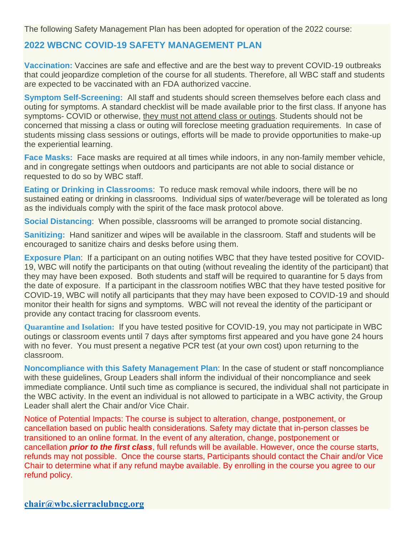The following Safety Management Plan has been adopted for operation of the 2022 course:

## **2022 WBCNC COVID-19 SAFETY MANAGEMENT PLAN**

**Vaccination:** Vaccines are safe and effective and are the best way to prevent COVID-19 outbreaks that could jeopardize completion of the course for all students. Therefore, all WBC staff and students are expected to be vaccinated with an FDA authorized vaccine.

**Symptom Self-Screening:** All staff and students should screen themselves before each class and outing for symptoms. A standard checklist will be made available prior to the first class. If anyone has symptoms- COVID or otherwise, they must not attend class or outings. Students should not be concerned that missing a class or outing will foreclose meeting graduation requirements. In case of students missing class sessions or outings, efforts will be made to provide opportunities to make-up the experiential learning.

**Face Masks:** Face masks are required at all times while indoors, in any non-family member vehicle, and in congregate settings when outdoors and participants are not able to social distance or requested to do so by WBC staff.

**Eating or Drinking in Classrooms**: To reduce mask removal while indoors, there will be no sustained eating or drinking in classrooms. Individual sips of water/beverage will be tolerated as long as the individuals comply with the spirit of the face mask protocol above.

**Social Distancing**: When possible, classrooms will be arranged to promote social distancing.

**Sanitizing:** Hand sanitizer and wipes will be available in the classroom. Staff and students will be encouraged to sanitize chairs and desks before using them.

**Exposure Plan**: If a participant on an outing notifies WBC that they have tested positive for COVID-19, WBC will notify the participants on that outing (without revealing the identity of the participant) that they may have been exposed. Both students and staff will be required to quarantine for 5 days from the date of exposure. If a participant in the classroom notifies WBC that they have tested positive for COVID-19, WBC will notify all participants that they may have been exposed to COVID-19 and should monitor their health for signs and symptoms. WBC will not reveal the identity of the participant or provide any contact tracing for classroom events.

**Quarantine and Isolation:** If you have tested positive for COVID-19, you may not participate in WBC outings or classroom events until 7 days after symptoms first appeared and you have gone 24 hours with no fever. You must present a negative PCR test (at your own cost) upon returning to the classroom.

**Noncompliance with this Safety Management Plan**: In the case of student or staff noncompliance with these guidelines, Group Leaders shall inform the individual of their noncompliance and seek immediate compliance. Until such time as compliance is secured, the individual shall not participate in the WBC activity. In the event an individual is not allowed to participate in a WBC activity, the Group Leader shall alert the Chair and/or Vice Chair.

Notice of Potential Impacts: The course is subject to alteration, change, postponement, or cancellation based on public health considerations. Safety may dictate that in-person classes be transitioned to an online format. In the event of any alteration, change, postponement or cancellation *prior to the first class*, full refunds will be available. However, once the course starts, refunds may not possible. Once the course starts, Participants should contact the Chair and/or Vice Chair to determine what if any refund maybe available. By enrolling in the course you agree to our refund policy.